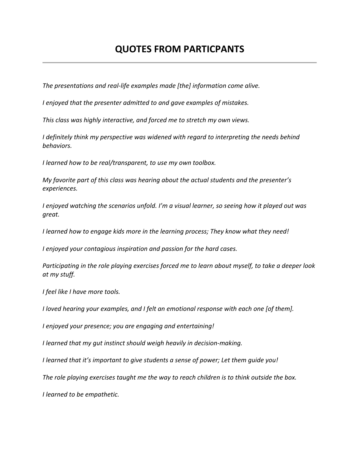## **QUOTES FROM PARTICPANTS**

The presentations and real-life examples made [the] information come alive.

*I* enjoyed that the presenter admitted to and gave examples of mistakes.

*This class was highly interactive, and forced me to stretch my own views.* 

*I* definitely think my perspective was widened with regard to interpreting the needs behind *behaviors.*

*I* learned how to be real/transparent, to use my own toolbox.

*My favorite part of this class was hearing about the actual students and the presenter's experiences.* 

*I* enjoyed watching the scenarios unfold. I'm a visual learner, so seeing how it played out was *great.*

*I* learned how to engage kids more in the learning process; They know what they need!

*I* enjoyed your contagious inspiration and passion for the hard cases.

*Participating in the role playing exercises forced me to learn about myself, to take a deeper look at my stuff.*

*I feel like I have more tools.*

*I* loved hearing your examples, and *I* felt an emotional response with each one [of them].

*I* enjoyed your presence; you are engaging and entertaining!

*I* learned that my gut instinct should weigh heavily in decision-making.

*I* learned that it's important to give students a sense of power; Let them guide you!

The role playing exercises taught me the way to reach children is to think outside the box.

*I learned to be empathetic.*